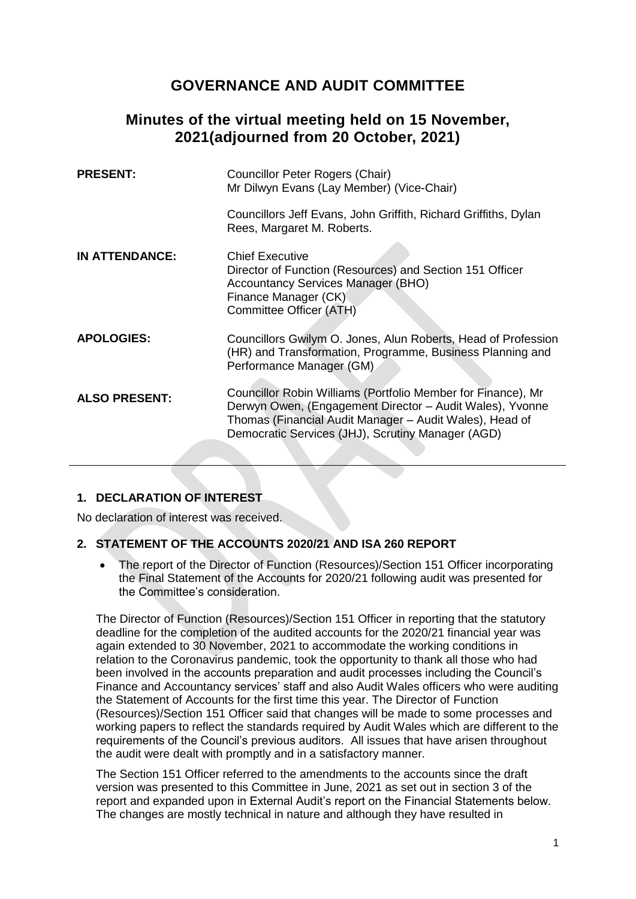# **GOVERNANCE AND AUDIT COMMITTEE**

## **Minutes of the virtual meeting held on 15 November, 2021(adjourned from 20 October, 2021)**

| <b>PRESENT:</b>       | Councillor Peter Rogers (Chair)<br>Mr Dilwyn Evans (Lay Member) (Vice-Chair)                                                                                                                                                             |
|-----------------------|------------------------------------------------------------------------------------------------------------------------------------------------------------------------------------------------------------------------------------------|
|                       | Councillors Jeff Evans, John Griffith, Richard Griffiths, Dylan<br>Rees, Margaret M. Roberts.                                                                                                                                            |
| <b>IN ATTENDANCE:</b> | <b>Chief Executive</b><br>Director of Function (Resources) and Section 151 Officer<br><b>Accountancy Services Manager (BHO)</b><br>Finance Manager (CK)<br>Committee Officer (ATH)                                                       |
| <b>APOLOGIES:</b>     | Councillors Gwilym O. Jones, Alun Roberts, Head of Profession<br>(HR) and Transformation, Programme, Business Planning and<br>Performance Manager (GM)                                                                                   |
| <b>ALSO PRESENT:</b>  | Councillor Robin Williams (Portfolio Member for Finance), Mr<br>Derwyn Owen, (Engagement Director - Audit Wales), Yvonne<br>Thomas (Financial Audit Manager – Audit Wales), Head of<br>Democratic Services (JHJ), Scrutiny Manager (AGD) |
|                       |                                                                                                                                                                                                                                          |

## **1. DECLARATION OF INTEREST**

No declaration of interest was received.

### **2. STATEMENT OF THE ACCOUNTS 2020/21 AND ISA 260 REPORT**

 The report of the Director of Function (Resources)/Section 151 Officer incorporating the Final Statement of the Accounts for 2020/21 following audit was presented for the Committee's consideration.

The Director of Function (Resources)/Section 151 Officer in reporting that the statutory deadline for the completion of the audited accounts for the 2020/21 financial year was again extended to 30 November, 2021 to accommodate the working conditions in relation to the Coronavirus pandemic, took the opportunity to thank all those who had been involved in the accounts preparation and audit processes including the Council's Finance and Accountancy services' staff and also Audit Wales officers who were auditing the Statement of Accounts for the first time this year. The Director of Function (Resources)/Section 151 Officer said that changes will be made to some processes and working papers to reflect the standards required by Audit Wales which are different to the requirements of the Council's previous auditors. All issues that have arisen throughout the audit were dealt with promptly and in a satisfactory manner.

The Section 151 Officer referred to the amendments to the accounts since the draft version was presented to this Committee in June, 2021 as set out in section 3 of the report and expanded upon in External Audit's report on the Financial Statements below. The changes are mostly technical in nature and although they have resulted in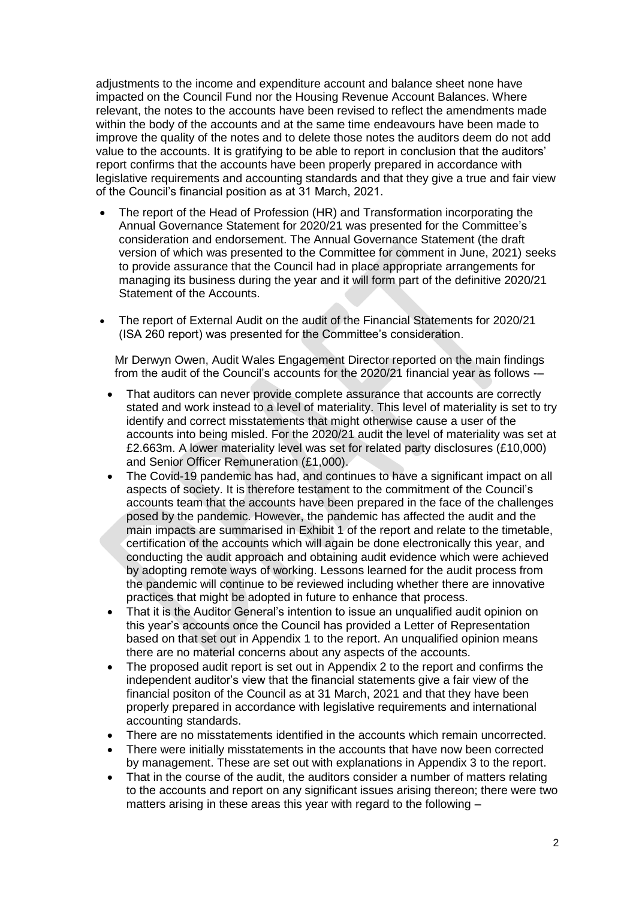adjustments to the income and expenditure account and balance sheet none have impacted on the Council Fund nor the Housing Revenue Account Balances. Where relevant, the notes to the accounts have been revised to reflect the amendments made within the body of the accounts and at the same time endeavours have been made to improve the quality of the notes and to delete those notes the auditors deem do not add value to the accounts. It is gratifying to be able to report in conclusion that the auditors' report confirms that the accounts have been properly prepared in accordance with legislative requirements and accounting standards and that they give a true and fair view of the Council's financial position as at 31 March, 2021.

- The report of the Head of Profession (HR) and Transformation incorporating the Annual Governance Statement for 2020/21 was presented for the Committee's consideration and endorsement. The Annual Governance Statement (the draft version of which was presented to the Committee for comment in June, 2021) seeks to provide assurance that the Council had in place appropriate arrangements for managing its business during the year and it will form part of the definitive 2020/21 Statement of the Accounts.
- The report of External Audit on the audit of the Financial Statements for 2020/21 (ISA 260 report) was presented for the Committee's consideration.

Mr Derwyn Owen, Audit Wales Engagement Director reported on the main findings from the audit of the Council's accounts for the 2020/21 financial year as follows -–

- That auditors can never provide complete assurance that accounts are correctly stated and work instead to a level of materiality. This level of materiality is set to try identify and correct misstatements that might otherwise cause a user of the accounts into being misled. For the 2020/21 audit the level of materiality was set at £2.663m. A lower materiality level was set for related party disclosures (£10,000) and Senior Officer Remuneration (£1,000).
- The Covid-19 pandemic has had, and continues to have a significant impact on all aspects of society. It is therefore testament to the commitment of the Council's accounts team that the accounts have been prepared in the face of the challenges posed by the pandemic. However, the pandemic has affected the audit and the main impacts are summarised in Exhibit 1 of the report and relate to the timetable, certification of the accounts which will again be done electronically this year, and conducting the audit approach and obtaining audit evidence which were achieved by adopting remote ways of working. Lessons learned for the audit process from the pandemic will continue to be reviewed including whether there are innovative practices that might be adopted in future to enhance that process.
- That it is the Auditor General's intention to issue an unqualified audit opinion on this year's accounts once the Council has provided a Letter of Representation based on that set out in Appendix 1 to the report. An unqualified opinion means there are no material concerns about any aspects of the accounts.
- The proposed audit report is set out in Appendix 2 to the report and confirms the independent auditor's view that the financial statements give a fair view of the financial positon of the Council as at 31 March, 2021 and that they have been properly prepared in accordance with legislative requirements and international accounting standards.
- There are no misstatements identified in the accounts which remain uncorrected.
- There were initially misstatements in the accounts that have now been corrected by management. These are set out with explanations in Appendix 3 to the report.
- That in the course of the audit, the auditors consider a number of matters relating to the accounts and report on any significant issues arising thereon; there were two matters arising in these areas this year with regard to the following –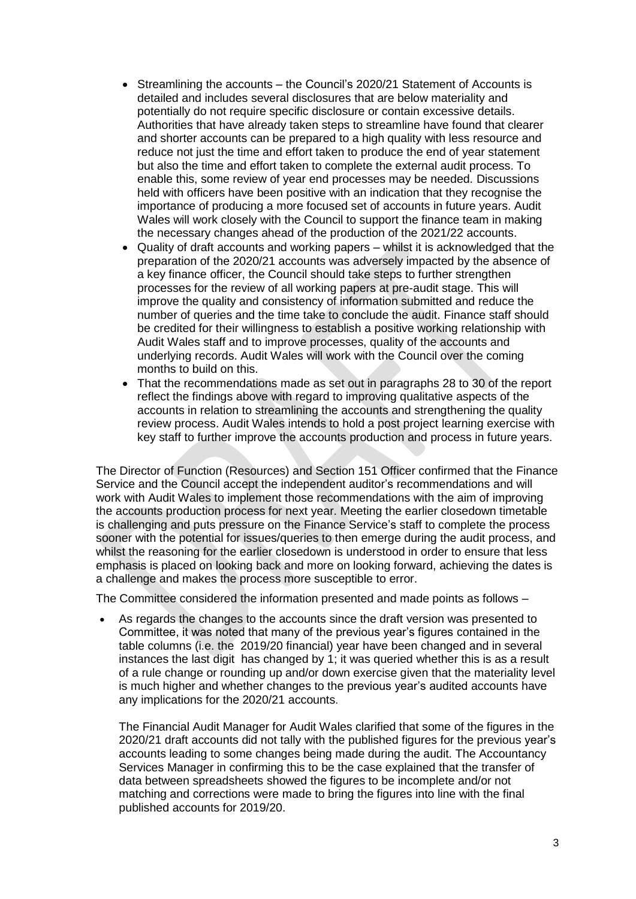- Streamlining the accounts the Council's 2020/21 Statement of Accounts is detailed and includes several disclosures that are below materiality and potentially do not require specific disclosure or contain excessive details. Authorities that have already taken steps to streamline have found that clearer and shorter accounts can be prepared to a high quality with less resource and reduce not just the time and effort taken to produce the end of year statement but also the time and effort taken to complete the external audit process. To enable this, some review of year end processes may be needed. Discussions held with officers have been positive with an indication that they recognise the importance of producing a more focused set of accounts in future years. Audit Wales will work closely with the Council to support the finance team in making the necessary changes ahead of the production of the 2021/22 accounts.
- Quality of draft accounts and working papers whilst it is acknowledged that the preparation of the 2020/21 accounts was adversely impacted by the absence of a key finance officer, the Council should take steps to further strengthen processes for the review of all working papers at pre-audit stage. This will improve the quality and consistency of information submitted and reduce the number of queries and the time take to conclude the audit. Finance staff should be credited for their willingness to establish a positive working relationship with Audit Wales staff and to improve processes, quality of the accounts and underlying records. Audit Wales will work with the Council over the coming months to build on this.
- That the recommendations made as set out in paragraphs 28 to 30 of the report reflect the findings above with regard to improving qualitative aspects of the accounts in relation to streamlining the accounts and strengthening the quality review process. Audit Wales intends to hold a post project learning exercise with key staff to further improve the accounts production and process in future years.

The Director of Function (Resources) and Section 151 Officer confirmed that the Finance Service and the Council accept the independent auditor's recommendations and will work with Audit Wales to implement those recommendations with the aim of improving the accounts production process for next year. Meeting the earlier closedown timetable is challenging and puts pressure on the Finance Service's staff to complete the process sooner with the potential for issues/queries to then emerge during the audit process, and whilst the reasoning for the earlier closedown is understood in order to ensure that less emphasis is placed on looking back and more on looking forward, achieving the dates is a challenge and makes the process more susceptible to error.

The Committee considered the information presented and made points as follows –

 As regards the changes to the accounts since the draft version was presented to Committee, it was noted that many of the previous year's figures contained in the table columns (i.e. the 2019/20 financial) year have been changed and in several instances the last digit has changed by 1; it was queried whether this is as a result of a rule change or rounding up and/or down exercise given that the materiality level is much higher and whether changes to the previous year's audited accounts have any implications for the 2020/21 accounts.

The Financial Audit Manager for Audit Wales clarified that some of the figures in the 2020/21 draft accounts did not tally with the published figures for the previous year's accounts leading to some changes being made during the audit. The Accountancy Services Manager in confirming this to be the case explained that the transfer of data between spreadsheets showed the figures to be incomplete and/or not matching and corrections were made to bring the figures into line with the final published accounts for 2019/20.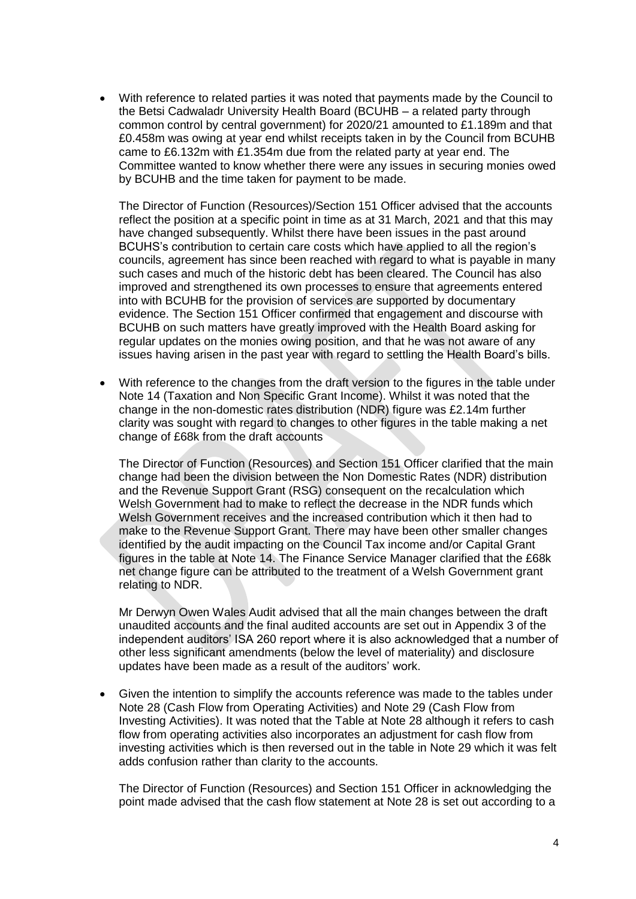With reference to related parties it was noted that payments made by the Council to the Betsi Cadwaladr University Health Board (BCUHB – a related party through common control by central government) for 2020/21 amounted to £1.189m and that £0.458m was owing at year end whilst receipts taken in by the Council from BCUHB came to £6.132m with £1.354m due from the related party at year end. The Committee wanted to know whether there were any issues in securing monies owed by BCUHB and the time taken for payment to be made.

The Director of Function (Resources)/Section 151 Officer advised that the accounts reflect the position at a specific point in time as at 31 March, 2021 and that this may have changed subsequently. Whilst there have been issues in the past around BCUHS's contribution to certain care costs which have applied to all the region's councils, agreement has since been reached with regard to what is payable in many such cases and much of the historic debt has been cleared. The Council has also improved and strengthened its own processes to ensure that agreements entered into with BCUHB for the provision of services are supported by documentary evidence. The Section 151 Officer confirmed that engagement and discourse with BCUHB on such matters have greatly improved with the Health Board asking for regular updates on the monies owing position, and that he was not aware of any issues having arisen in the past year with regard to settling the Health Board's bills.

 With reference to the changes from the draft version to the figures in the table under Note 14 (Taxation and Non Specific Grant Income). Whilst it was noted that the change in the non-domestic rates distribution (NDR) figure was £2.14m further clarity was sought with regard to changes to other figures in the table making a net change of £68k from the draft accounts

The Director of Function (Resources) and Section 151 Officer clarified that the main change had been the division between the Non Domestic Rates (NDR) distribution and the Revenue Support Grant (RSG) consequent on the recalculation which Welsh Government had to make to reflect the decrease in the NDR funds which Welsh Government receives and the increased contribution which it then had to make to the Revenue Support Grant. There may have been other smaller changes identified by the audit impacting on the Council Tax income and/or Capital Grant figures in the table at Note 14. The Finance Service Manager clarified that the £68k net change figure can be attributed to the treatment of a Welsh Government grant relating to NDR.

Mr Derwyn Owen Wales Audit advised that all the main changes between the draft unaudited accounts and the final audited accounts are set out in Appendix 3 of the independent auditors' ISA 260 report where it is also acknowledged that a number of other less significant amendments (below the level of materiality) and disclosure updates have been made as a result of the auditors' work.

 Given the intention to simplify the accounts reference was made to the tables under Note 28 (Cash Flow from Operating Activities) and Note 29 (Cash Flow from Investing Activities). It was noted that the Table at Note 28 although it refers to cash flow from operating activities also incorporates an adjustment for cash flow from investing activities which is then reversed out in the table in Note 29 which it was felt adds confusion rather than clarity to the accounts.

The Director of Function (Resources) and Section 151 Officer in acknowledging the point made advised that the cash flow statement at Note 28 is set out according to a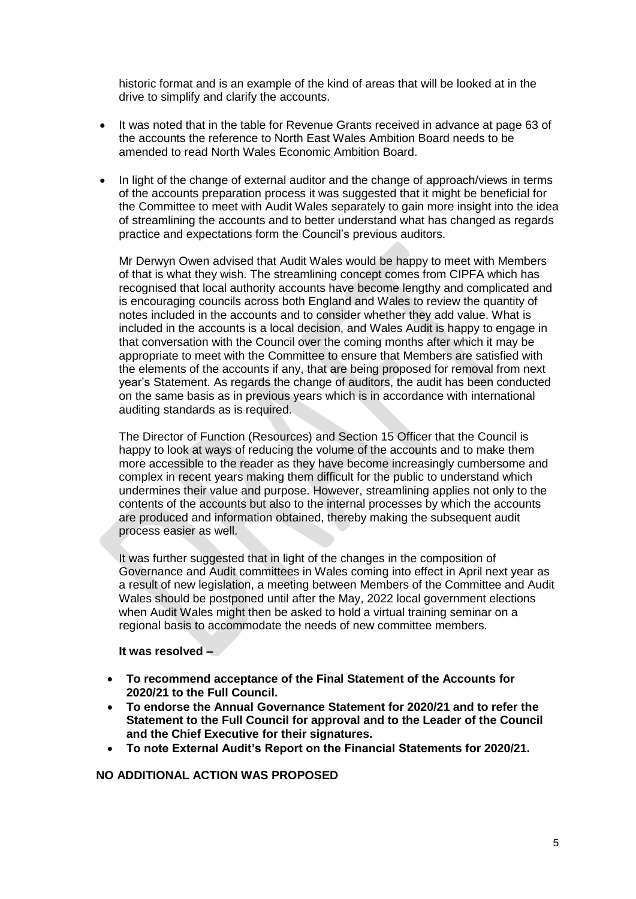historic format and is an example of the kind of areas that will be looked at in the drive to simplify and clarify the accounts.

- It was noted that in the table for Revenue Grants received in advance at page 63 of the accounts the reference to North East Wales Ambition Board needs to be amended to read North Wales Economic Ambition Board.
- In light of the change of external auditor and the change of approach/views in terms of the accounts preparation process it was suggested that it might be beneficial for the Committee to meet with Audit Wales separately to gain more insight into the idea of streamlining the accounts and to better understand what has changed as regards practice and expectations form the Council's previous auditors.

Mr Derwyn Owen advised that Audit Wales would be happy to meet with Members of that is what they wish. The streamlining concept comes from CIPFA which has recognised that local authority accounts have become lengthy and complicated and is encouraging councils across both England and Wales to review the quantity of notes included in the accounts and to consider whether they add value. What is included in the accounts is a local decision, and Wales Audit is happy to engage in that conversation with the Council over the coming months after which it may be appropriate to meet with the Committee to ensure that Members are satisfied with the elements of the accounts if any, that are being proposed for removal from next year's Statement. As regards the change of auditors, the audit has been conducted on the same basis as in previous years which is in accordance with international auditing standards as is required.

The Director of Function (Resources) and Section 15 Officer that the Council is happy to look at ways of reducing the volume of the accounts and to make them more accessible to the reader as they have become increasingly cumbersome and complex in recent years making them difficult for the public to understand which undermines their value and purpose. However, streamlining applies not only to the contents of the accounts but also to the internal processes by which the accounts are produced and information obtained, thereby making the subsequent audit process easier as well.

It was further suggested that in light of the changes in the composition of Governance and Audit committees in Wales coming into effect in April next year as a result of new legislation, a meeting between Members of the Committee and Audit Wales should be postponed until after the May, 2022 local government elections when Audit Wales might then be asked to hold a virtual training seminar on a regional basis to accommodate the needs of new committee members.

### **It was resolved –**

- **To recommend acceptance of the Final Statement of the Accounts for 2020/21 to the Full Council.**
- **To endorse the Annual Governance Statement for 2020/21 and to refer the Statement to the Full Council for approval and to the Leader of the Council and the Chief Executive for their signatures.**
- **To note External Audit's Report on the Financial Statements for 2020/21.**

**NO ADDITIONAL ACTION WAS PROPOSED**